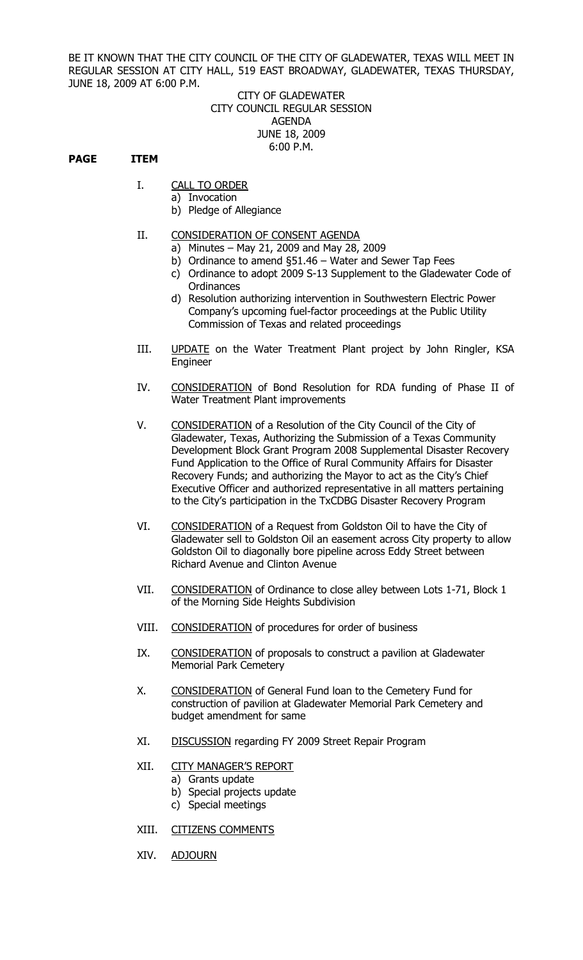BE IT KNOWN THAT THE CITY COUNCIL OF THE CITY OF GLADEWATER, TEXAS WILL MEET IN REGULAR SESSION AT CITY HALL, 519 EAST BROADWAY, GLADEWATER, TEXAS THURSDAY, JUNE 18, 2009 AT 6:00 P.M.

## CITY OF GLADEWATER CITY COUNCIL REGULAR SESSION AGENDA JUNE 18, 2009 6:00 P.M.

## **PAGE ITEM**

- I. CALL TO ORDER
	- a) Invocation
	- b) Pledge of Allegiance

## II. CONSIDERATION OF CONSENT AGENDA

- a) Minutes May 21, 2009 and May 28, 2009
- b) Ordinance to amend §51.46 Water and Sewer Tap Fees
- c) Ordinance to adopt 2009 S-13 Supplement to the Gladewater Code of **Ordinances**
- d) Resolution authorizing intervention in Southwestern Electric Power Company's upcoming fuel-factor proceedings at the Public Utility Commission of Texas and related proceedings
- III. UPDATE on the Water Treatment Plant project by John Ringler, KSA **Engineer**
- IV. CONSIDERATION of Bond Resolution for RDA funding of Phase II of Water Treatment Plant improvements
- V. CONSIDERATION of a Resolution of the City Council of the City of Gladewater, Texas, Authorizing the Submission of a Texas Community Development Block Grant Program 2008 Supplemental Disaster Recovery Fund Application to the Office of Rural Community Affairs for Disaster Recovery Funds; and authorizing the Mayor to act as the City's Chief Executive Officer and authorized representative in all matters pertaining to the City's participation in the TxCDBG Disaster Recovery Program
- VI. CONSIDERATION of a Request from Goldston Oil to have the City of Gladewater sell to Goldston Oil an easement across City property to allow Goldston Oil to diagonally bore pipeline across Eddy Street between Richard Avenue and Clinton Avenue
- VII. CONSIDERATION of Ordinance to close alley between Lots 1-71, Block 1 of the Morning Side Heights Subdivision
- VIII. CONSIDERATION of procedures for order of business
- IX. CONSIDERATION of proposals to construct a pavilion at Gladewater Memorial Park Cemetery
- X. CONSIDERATION of General Fund loan to the Cemetery Fund for construction of pavilion at Gladewater Memorial Park Cemetery and budget amendment for same
- XI. DISCUSSION regarding FY 2009 Street Repair Program

## XII. CITY MANAGER'S REPORT

- a) Grants update
- b) Special projects update
- c) Special meetings
- XIII. CITIZENS COMMENTS
- XIV. ADJOURN